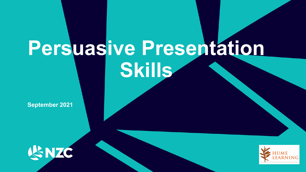# **Persuasive Presentation Skills**

**September 2021**



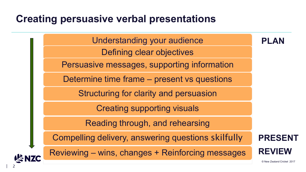Understanding your audience Defining clear objectives Persuasive messages, supporting information Determine time frame – present vs questions Structuring for clarity and persuasion Creating supporting visuals Reading through, and rehearsing Compelling delivery, answering questions skilfully Reviewing – wins, changes + Reinforcing messages **PLAN PRESENT REVIEW**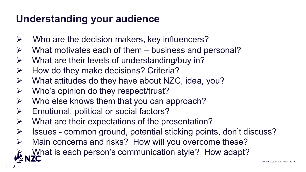## **Understanding your audience**

- $\triangleright$  Who are the decision makers, key influencers?
- What motivates each of them business and personal?
- $\triangleright$  What are their levels of understanding/buy in?
- $\triangleright$  How do they make decisions? Criteria?
- $\triangleright$  What attitudes do they have about NZC, idea, you?
- $\triangleright$  Who's opinion do they respect/trust?
- $\triangleright$  Who else knows them that you can approach?
- $\triangleright$  Emotional, political or social factors?
- $\triangleright$  What are their expectations of the presentation?
- Issues common ground, potential sticking points, don't discuss?
- Main concerns and risks? How will you overcome these?
- What is each person's communication style? How adapt?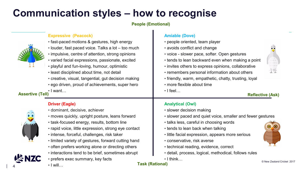## **Communication styles – how to recognise**

**People (Emotional)**





• I will…

**Task (Rational)**

| 4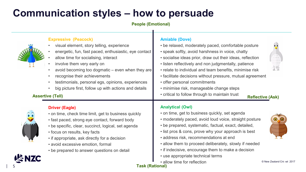## **Communication styles – how to persuade**

**People (Emotional)**

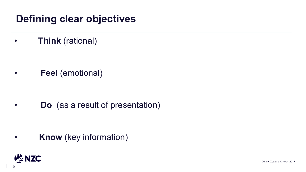## **Defining clear objectives**

• **Think** (rational)

• **Feel** (emotional)

• **Do** (as a result of presentation)

• **Know** (key information)

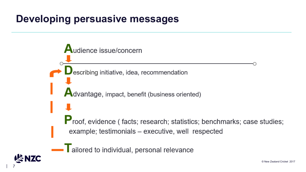#### **Developing persuasive messages**



Tailored to individual, personal relevance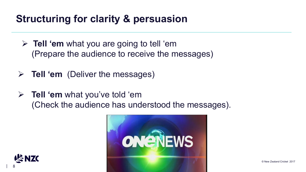## **Structuring for clarity & persuasion**

- **Tell 'em** what you are going to tell 'em (Prepare the audience to receive the messages)
- **Tell 'em** (Deliver the messages)
- **Tell 'em** what you've told 'em (Check the audience has understood the messages).



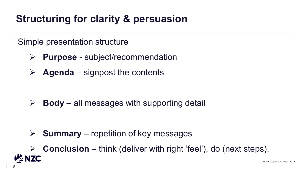## **Structuring for clarity & persuasion**

#### Simple presentation structure

- **Purpose** subject/recommendation
- $\triangleright$  **Agenda** signpost the contents

 $\triangleright$  **Body** – all messages with supporting detail

 $\triangleright$  **Summary** – repetition of key messages

 **Conclusion** – think (deliver with right 'feel'), do (next steps).SNZC © New Zealand Cricket 2017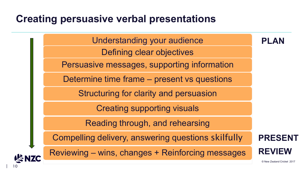Understanding your audience Defining clear objectives Persuasive messages, supporting information Determine time frame – present vs questions Structuring for clarity and persuasion Creating supporting visuals Reading through, and rehearsing Compelling delivery, answering questions skilfully Reviewing – wins, changes + Reinforcing messages **PLAN PRESENT REVIEW**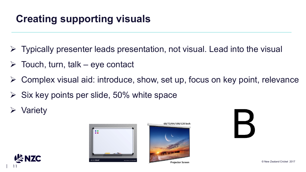## **Creating supporting visuals**

- $\triangleright$  Typically presenter leads presentation, not visual. Lead into the visual
- $\triangleright$  Touch, turn, talk eye contact
- Complex visual aid: introduce, show, set up, focus on key point, relevance
- Six key points per slide, 50% white space
- Variety



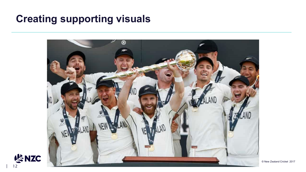### **Creating supporting visuals**



**VSNZC**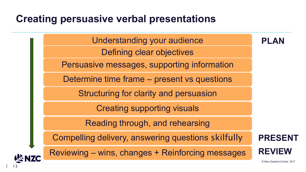Understanding your audience Defining clear objectives Persuasive messages, supporting information Determine time frame – present vs questions Structuring for clarity and persuasion Creating supporting visuals Reading through, and rehearsing Compelling delivery, answering questions skilfully Reviewing – wins, changes + Reinforcing messages **PLAN PRESENT REVIEW**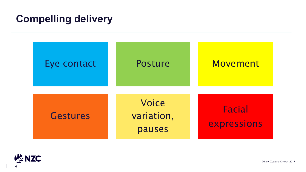## **Compelling delivery**



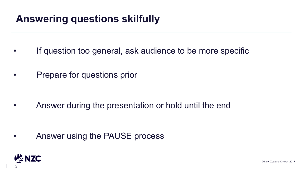## **Answering questions skilfully**

- If question too general, ask audience to be more specific
- Prepare for questions prior

• Answer during the presentation or hold until the end

• Answer using the PAUSE process

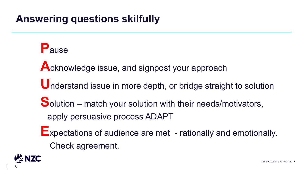## **Answering questions skilfully**

**P**ause Acknowledge issue, and signpost your approach **U**nderstand issue in more depth, or bridge straight to solution **S**olution – match your solution with their needs/motivators, apply persuasive process ADAPT **E**xpectations of audience are met - rationally and emotionally. Check agreement.

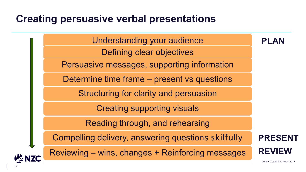Understanding your audience Defining clear objectives Persuasive messages, supporting information Determine time frame – present vs questions Structuring for clarity and persuasion Creating supporting visuals Reading through, and rehearsing Compelling delivery, answering questions skilfully Reviewing – wins, changes + Reinforcing messages **PLAN PRESENT REVIEW**